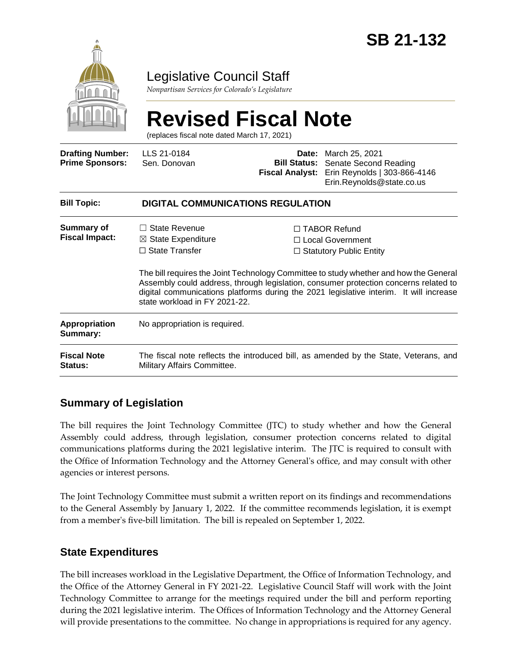

# Legislative Council Staff

*Nonpartisan Services for Colorado's Legislature*

# **Revised Fiscal Note**

(replaces fiscal note dated March 17, 2021)

| <b>Drafting Number:</b><br><b>Prime Sponsors:</b> | LLS 21-0184<br>Sen. Donovan                                                                                                                                                                                                                                                                              |  | <b>Date:</b> March 25, 2021<br><b>Bill Status:</b> Senate Second Reading<br>Fiscal Analyst: Erin Reynolds   303-866-4146<br>Erin.Reynolds@state.co.us |  |
|---------------------------------------------------|----------------------------------------------------------------------------------------------------------------------------------------------------------------------------------------------------------------------------------------------------------------------------------------------------------|--|-------------------------------------------------------------------------------------------------------------------------------------------------------|--|
| <b>Bill Topic:</b>                                | <b>DIGITAL COMMUNICATIONS REGULATION</b>                                                                                                                                                                                                                                                                 |  |                                                                                                                                                       |  |
| Summary of<br><b>Fiscal Impact:</b>               | $\Box$ State Revenue<br>$\boxtimes$ State Expenditure                                                                                                                                                                                                                                                    |  | $\Box$ TABOR Refund<br>□ Local Government                                                                                                             |  |
|                                                   | $\Box$ State Transfer                                                                                                                                                                                                                                                                                    |  | $\Box$ Statutory Public Entity                                                                                                                        |  |
|                                                   | The bill requires the Joint Technology Committee to study whether and how the General<br>Assembly could address, through legislation, consumer protection concerns related to<br>digital communications platforms during the 2021 legislative interim. It will increase<br>state workload in FY 2021-22. |  |                                                                                                                                                       |  |
| Appropriation<br>Summary:                         | No appropriation is required.                                                                                                                                                                                                                                                                            |  |                                                                                                                                                       |  |
| <b>Fiscal Note</b><br>Status:                     | The fiscal note reflects the introduced bill, as amended by the State, Veterans, and<br>Military Affairs Committee.                                                                                                                                                                                      |  |                                                                                                                                                       |  |

# **Summary of Legislation**

The bill requires the Joint Technology Committee (JTC) to study whether and how the General Assembly could address, through legislation, consumer protection concerns related to digital communications platforms during the 2021 legislative interim. The JTC is required to consult with the Office of Information Technology and the Attorney General's office, and may consult with other agencies or interest persons.

The Joint Technology Committee must submit a written report on its findings and recommendations to the General Assembly by January 1, 2022. If the committee recommends legislation, it is exempt from a member's five-bill limitation. The bill is repealed on September 1, 2022.

#### **State Expenditures**

The bill increases workload in the Legislative Department, the Office of Information Technology, and the Office of the Attorney General in FY 2021-22. Legislative Council Staff will work with the Joint Technology Committee to arrange for the meetings required under the bill and perform reporting during the 2021 legislative interim. The Offices of Information Technology and the Attorney General will provide presentations to the committee. No change in appropriations is required for any agency.